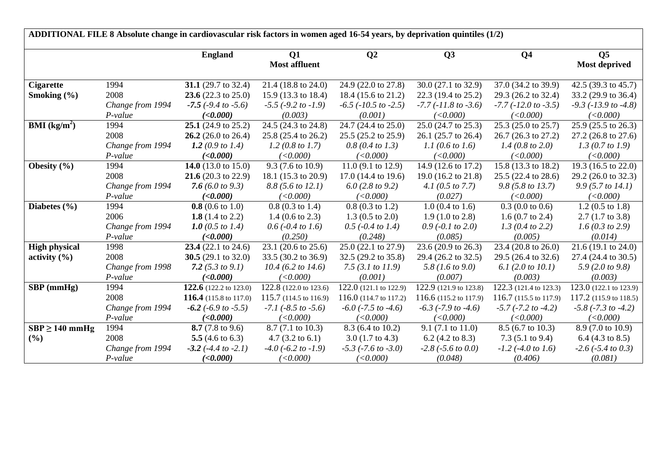| ADDITIONAL FILE 8 Absolute change in cardiovascular risk factors in women aged 16-54 years, by deprivation quintiles (1/2) |                  |                                |                             |                               |                              |                              |                              |  |  |  |
|----------------------------------------------------------------------------------------------------------------------------|------------------|--------------------------------|-----------------------------|-------------------------------|------------------------------|------------------------------|------------------------------|--|--|--|
|                                                                                                                            |                  | <b>England</b>                 | Q1                          | Q <sub>2</sub>                | Q3                           | Q <sub>4</sub>               | Q <sub>5</sub>               |  |  |  |
|                                                                                                                            |                  |                                | <b>Most affluent</b>        |                               |                              |                              | <b>Most deprived</b>         |  |  |  |
| <b>Cigarette</b>                                                                                                           | 1994             | 31.1 (29.7 to 32.4)            | 21.4 (18.8 to 24.0)         | 24.9 (22.0 to 27.8)           | 30.0 (27.1 to 32.9)          | 37.0 (34.2 to 39.9)          | 42.5 (39.3 to 45.7)          |  |  |  |
| Smoking $(\% )$                                                                                                            | 2008             | 23.6 (22.3 to 25.0)            | 15.9 (13.3 to 18.4)         | 18.4 (15.6 to 21.2)           | 22.3 (19.4 to 25.2)          | 29.3 (26.2 to 32.4)          | 33.2 (29.9 to 36.4)          |  |  |  |
|                                                                                                                            | Change from 1994 | $-7.5$ ( $-9.4$ to $-5.6$ )    | $-5.5$ ( $-9.2$ to $-1.9$ ) | $-6.5$ ( $-10.5$ to $-2.5$ )  | $-7.7$ ( $-11.8$ to $-3.6$ ) | $-7.7$ ( $-12.0$ to $-3.5$ ) | $-9.3$ ( $-13.9$ to $-4.8$ ) |  |  |  |
|                                                                                                                            | $P-value$        | ( <b>0.000</b> )               | (0.003)                     | (0.001)                       | (<0.000)                     | (<0.000)                     | (<0.000)                     |  |  |  |
| <b>BMI</b> ( $kg/m2$ )                                                                                                     | 1994             | 25.1 $(24.9 \text{ to } 25.2)$ | 24.5 (24.3 to 24.8)         | 24.7 (24.4 to 25.0)           | 25.0 (24.7 to 25.3)          | 25.3 (25.0 to 25.7)          | 25.9 (25.5 to 26.3)          |  |  |  |
|                                                                                                                            | 2008             | 26.2 $(26.0 \text{ to } 26.4)$ | 25.8 (25.4 to 26.2)         | 25.5 (25.2 to 25.9)           | $26.1$ (25.7 to 26.4)        | 26.7 (26.3 to 27.2)          | 27.2 (26.8 to 27.6)          |  |  |  |
|                                                                                                                            | Change from 1994 | 1.2 (0.9 to 1.4)               | 1.2 $(0.8 \text{ to } 1.7)$ | 0.8(0.4~to~1.3)               | 1.1 (0.6 to 1.6)             | 1.4 $(0.8 \text{ to } 2.0)$  | 1.3 (0.7 to 1.9)             |  |  |  |
|                                                                                                                            | P-value          | ( <b>0.000</b> )               | (<0.000)                    | (<0.000)                      | (<0.000)                     | (<0.000)                     | (<0.000)                     |  |  |  |
| Obesity $(\% )$                                                                                                            | 1994             | 14.0 $(13.0 \text{ to } 15.0)$ | $9.3(7.6 \text{ to } 10.9)$ | 11.0 $(9.1 \text{ to } 12.9)$ | 14.9 (12.6 to 17.2)          | 15.8 (13.3 to 18.2)          | 19.3 (16.5 to 22.0)          |  |  |  |
|                                                                                                                            | 2008             | 21.6 $(20.3 \text{ to } 22.9)$ | 18.1 (15.3 to 20.9)         | 17.0 (14.4 to 19.6)           | 19.0 (16.2 to 21.8)          | 25.5 (22.4 to 28.6)          | 29.2 (26.0 to 32.3)          |  |  |  |
|                                                                                                                            | Change from 1994 | 7.6 (6.0 to 9.3)               | 8.8 (5.6 to 12.1)           | 6.0(2.8 to 9.2)               | 4.1 $(0.5 \text{ to } 7.7)$  | 9.8(5.8 to 13.7)             | 9.9(5.7 to 14.1)             |  |  |  |
|                                                                                                                            | P-value          | (<0.000)                       | (<0.000)                    | (<0.000)                      | (0.027)                      | (<0.000)                     | (<0.000)                     |  |  |  |
| Diabetes $(\% )$                                                                                                           | 1994             | $0.8$ (0.6 to 1.0)             | $0.8(0.3 \text{ to } 1.4)$  | $0.8(0.3 \text{ to } 1.2)$    | $1.0$ (0.4 to 1.6)           | $0.3(0.0 \text{ to } 0.6)$   | $1.2(0.5 \text{ to } 1.8)$   |  |  |  |
|                                                                                                                            | 2006             | 1.8 $(1.4 \text{ to } 2.2)$    | 1.4 $(0.6 \text{ to } 2.3)$ | $1.3(0.5 \text{ to } 2.0)$    | $1.9(1.0 \text{ to } 2.8)$   | 1.6 $(0.7 \text{ to } 2.4)$  | $2.7(1.7 \text{ to } 3.8)$   |  |  |  |
|                                                                                                                            | Change from 1994 | 1.0 (0.5 to 1.4)               | $0.6$ (-0.4 to 1.6)         | $0.5$ (-0.4 to 1.4)           | $0.9$ (-0.1 to 2.0)          | 1.3 (0.4 to 2.2)             | 1.6 (0.3 to 2.9)             |  |  |  |
|                                                                                                                            | $P-value$        | (<0.000)                       | (0.250)                     | (0.248)                       | (0.085)                      | (0.005)                      | (0.014)                      |  |  |  |
| <b>High physical</b>                                                                                                       | 1998             | 23.4 $(22.1 \text{ to } 24.6)$ | 23.1 (20.6 to 25.6)         | 25.0 (22.1 to 27.9)           | 23.6 (20.9 to 26.3)          | 23.4 (20.8 to 26.0)          | 21.6 (19.1 to 24.0)          |  |  |  |
| activity $(\% )$                                                                                                           | 2008             | 30.5 $(29.1 \text{ to } 32.0)$ | 33.5 (30.2 to 36.9)         | 32.5 (29.2 to 35.8)           | 29.4 (26.2 to 32.5)          | 29.5 (26.4 to 32.6)          | 27.4 (24.4 to 30.5)          |  |  |  |
|                                                                                                                            | Change from 1998 | 7.2 $(5.3 \text{ to } 9.1)$    | $10.4$ (6.2 to 14.6)        | 7.5 $(3.1 to 11.9)$           | 5.8 (1.6 to 9.0)             | 6.1 $(2.0 to 10.1)$          | 5.9 (2.0 to 9.8)             |  |  |  |
|                                                                                                                            | P-value          | (<0.000)                       | (<0.000)                    | (0.001)                       | (0.007)                      | (0.003)                      | (0.003)                      |  |  |  |
| $SBP$ (mmHg)                                                                                                               | 1994             | 122.6 (122.2 to 123.0)         | 122.8 (122.0 to 123.6)      | 122.0 (121.1 to 122.9)        | 122.9 (121.9 to 123.8)       | 122.3 (121.4 to 123.3)       | 123.0 (122.1 to 123.9)       |  |  |  |
|                                                                                                                            | 2008             | 116.4 (115.8 to 117.0)         | 115.7 (114.5 to 116.9)      | 116.0 (114.7 to 117.2)        | 116.6 (115.2 to 117.9)       | 116.7 (115.5 to 117.9)       | 117.2 (115.9 to 118.5)       |  |  |  |
|                                                                                                                            | Change from 1994 | $-6.2$ ( $-6.9$ to $-5.5$ )    | $-7.1$ ( $-8.5$ to $-5.6$ ) | $-6.0$ ( $-7.5$ to $-4.6$ )   | $-6.3$ ( $-7.9$ to $-4.6$ )  | $-5.7$ ( $-7.2$ to $-4.2$ )  | $-5.8$ ( $-7.3$ to $-4.2$ )  |  |  |  |
|                                                                                                                            | P-value          | (<0.000)                       | (<0.000)                    | (<0.000)                      | (<0.000)                     | (<0.000)                     | (<0.000)                     |  |  |  |
| $SBP \ge 140$ mmHg                                                                                                         | 1994             | 8.7 $(7.8 \text{ to } 9.6)$    | $8.7(7.1 \text{ to } 10.3)$ | 8.3 (6.4 to 10.2)             | $9.1(7.1 \text{ to } 11.0)$  | 8.5 (6.7 to 10.3)            | 8.9 (7.0 to 10.9)            |  |  |  |
| $(\%)$                                                                                                                     | 2008             | 5.5 $(4.6 \text{ to } 6.3)$    | $4.7 (3.2 \text{ to } 6.1)$ | $3.0(1.7 \text{ to } 4.3)$    | 6.2 $(4.2 \text{ to } 8.3)$  | 7.3 $(5.1 \text{ to } 9.4)$  | 6.4 $(4.3 \text{ to } 8.5)$  |  |  |  |
|                                                                                                                            | Change from 1994 | $-3.2$ ( $-4.4$ to $-2.1$ )    | $-4.0$ ( $-6.2$ to $-1.9$ ) | $-5.3$ ( $-7.6$ to $-3.0$ )   | $-2.8$ ( $-5.6$ to 0.0)      | $-1.2$ ( $-4.0$ to 1.6)      | $-2.6$ ( $-5.4$ to 0.3)      |  |  |  |
|                                                                                                                            | P-value          | ( <b>0.000</b> )               | (<0.000)                    | (<0.000)                      | (0.048)                      | (0.406)                      | (0.081)                      |  |  |  |